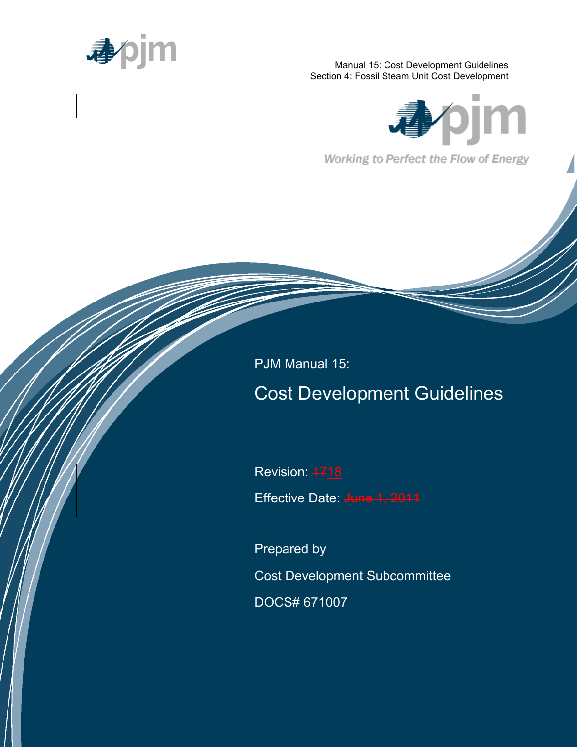

#### Manual 15: Cost Development Guidelines Section 4: Fossil Steam Unit Cost Development



Working to Perfect the Flow of Energy

PJM Manual 15:

# Cost Development Guidelines

Revision: 4718

Effective Date: June

Prepared by Cost Development Subcommittee DOCS# 671007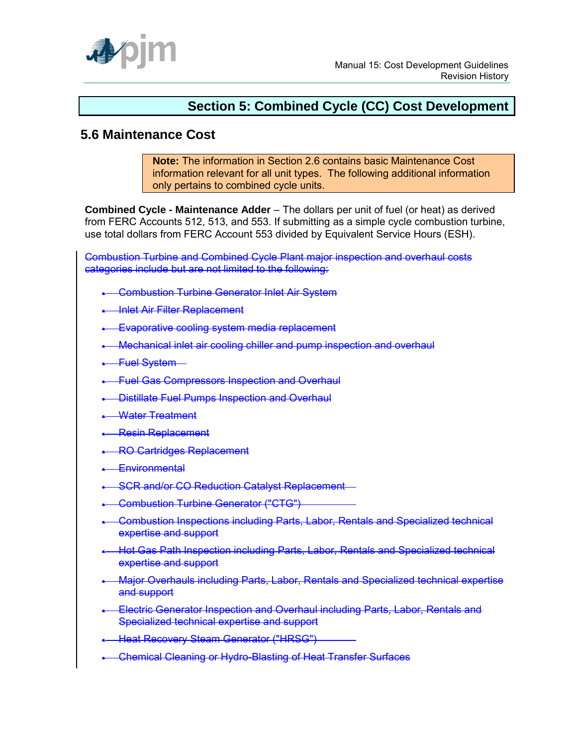

## **Section 5: Combined Cycle (CC) Cost Development**

## **5.6 Maintenance Cost**

**Note:** The information in Section 2.6 contains basic Maintenance Cost information relevant for all unit types. The following additional information only pertains to combined cycle units.

**Combined Cycle - Maintenance Adder** – The dollars per unit of fuel (or heat) as derived from FERC Accounts 512, 513, and 553. If submitting as a simple cycle combustion turbine, use total dollars from FERC Account 553 divided by Equivalent Service Hours (ESH).

Combustion Turbine and Combined Cycle Plant major inspection and overhaul costs categories include but are not limited to the following:

- **Combustion Turbine Generator Inlet Air System**
- **Inlet Air Filter Replacement**
- Evaporative cooling system media replacement
- **Mechanical inlet air cooling chiller and pump inspection and overhaul**
- **-**Fuel System-
- **-** Fuel Gas Compressors Inspection and Overhaul
- **Distillate Fuel Pumps Inspection and Overhaul**
- Water Treatment
- **Resin Replacement**
- **RO Cartridges Replacement**
- **Environmental**
- **SCR and/or CO Reduction Catalyst Replacement**
- **Combustion Turbine Generator ("CTG")**
- Combustion Inspections including Parts, Labor, Rentals and Specialized technical expertise and support
- Hot Gas Path Inspection including Parts, Labor, Rentals and Specialized technical expertise and support
- Major Overhauls including Parts, Labor, Rentals and Specialized technical expertise and support
- Electric Generator Inspection and Overhaul including Parts, Labor, Rentals and Specialized technical expertise and support
- **Heat Recovery Steam Generator ("HRSG")**
- **-** Chemical Cleaning or Hydro-Blasting of Heat Transfer Surfaces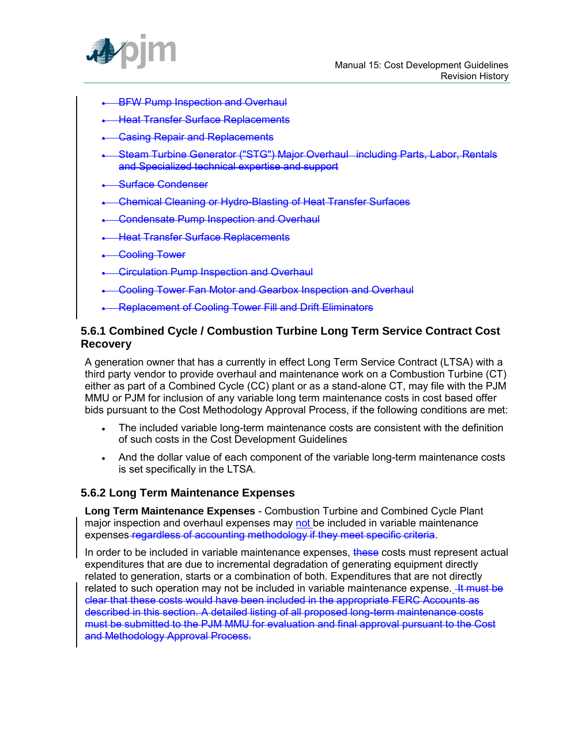

- BFW Pump Inspection and Overhaul
- **Heat Transfer Surface Replacements**
- Casing Repair and Replacements
- Steam Turbine Generator ("STG") Major Overhaul including Parts, Labor, Rentals and Specialized technical expertise and support
- Surface Condenser
- Chemical Cleaning or Hydro-Blasting of Heat Transfer Surfaces
- Condensate Pump Inspection and Overhaul
- Heat Transfer Surface Replacements
- **Cooling Tower**
- **Circulation Pump Inspection and Overhaul**
- Cooling Tower Fan Motor and Gearbox Inspection and Overhaul
- Replacement of Cooling Tower Fill and Drift Eliminators

#### **5.6.1 Combined Cycle / Combustion Turbine Long Term Service Contract Cost Recovery**

A generation owner that has a currently in effect Long Term Service Contract (LTSA) with a third party vendor to provide overhaul and maintenance work on a Combustion Turbine (CT) either as part of a Combined Cycle (CC) plant or as a stand-alone CT, may file with the PJM MMU or PJM for inclusion of any variable long term maintenance costs in cost based offer bids pursuant to the Cost Methodology Approval Process, if the following conditions are met:

- The included variable long-term maintenance costs are consistent with the definition of such costs in the Cost Development Guidelines
- And the dollar value of each component of the variable long-term maintenance costs is set specifically in the LTSA.

#### **5.6.2 Long Term Maintenance Expenses**

**Long Term Maintenance Expenses** - Combustion Turbine and Combined Cycle Plant major inspection and overhaul expenses may not be included in variable maintenance expenses regardless of accounting methodology if they meet specific criteria.

In order to be included in variable maintenance expenses, these costs must represent actual expenditures that are due to incremental degradation of generating equipment directly related to generation, starts or a combination of both. Expenditures that are not directly related to such operation may not be included in variable maintenance expense. He must be clear that these costs would have been included in the appropriate FERC Accounts as described in this section. A detailed listing of all proposed long-term maintenance costs must be submitted to the PJM MMU for evaluation and final approval pursuant to the Cost and Methodology Approval Process.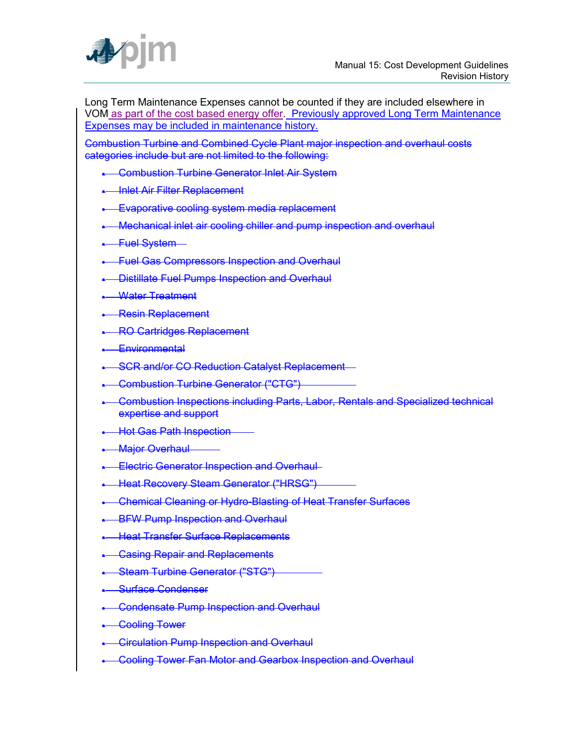

Long Term Maintenance Expenses cannot be counted if they are included elsewhere in VOM as part of the cost based energy offer. Previously approved Long Term Maintenance Expenses may be included in maintenance history.

Combustion Turbine and Combined Cycle Plant major inspection and overhaul costs categories include but are not limited to the following:

- **-** Combustion Turbine Generator Inlet Air System
- **Inlet Air Filter Replacement**
- **Evaporative cooling system media replacement**
- **Mechanical inlet air cooling chiller and pump inspection and overhaul**
- **.** Fuel System-
- **-** Fuel Gas Compressors Inspection and Overhaul
- **Distillate Fuel Pumps Inspection and Overhaul**
- Water Treatment
- **Resin Replacement**
- **RO Cartridges Replacement**
- Environmental
- **SCR and/or CO Reduction Catalyst Replacement**
- **Combustion Turbine Generator ("CTG")**
- Combustion Inspections including Parts, Labor, Rentals and Specialized technical expertise and support
- **Hot Gas Path Inspection**
- **Major Overhaul**
- **Electric Generator Inspection and Overhaul-**
- **-** Heat Recovery Steam Generator ("HRSG")
- **-** Chemical Cleaning or Hydro-Blasting of Heat Transfer Surfaces
- **BFW Pump Inspection and Overhaul**
- **Heat Transfer Surface Replacements**
- **Casing Repair and Replacements**
- **-** Steam Turbine Generator ("STG")
- **Surface Condenser**
- **-** Condensate Pump Inspection and Overhaul
- **.** Cooling Tower
- **-** Circulation Pump Inspection and Overhaul
- **Cooling Tower Fan Motor and Gearbox Inspection and Overhaul**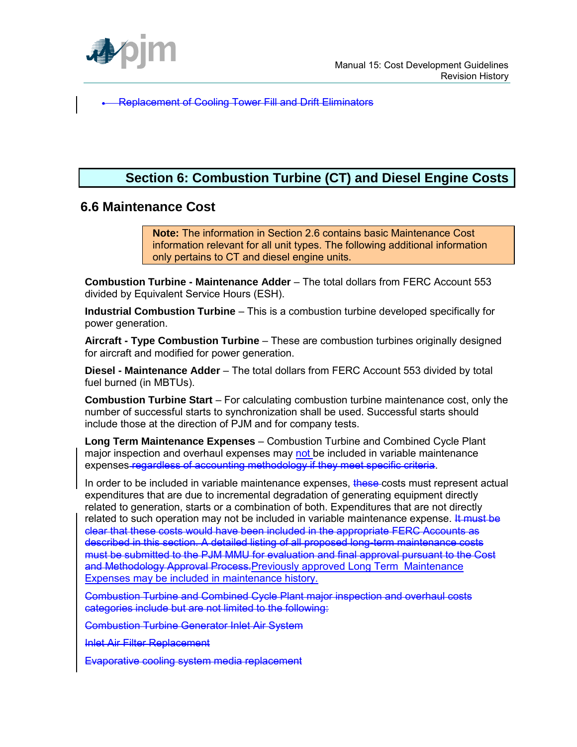

Replacement of Cooling Tower Fill and Drift Eliminators

## **Section 6: Combustion Turbine (CT) and Diesel Engine Costs**

## **6.6 Maintenance Cost**

**Note:** The information in Section 2.6 contains basic Maintenance Cost information relevant for all unit types. The following additional information only pertains to CT and diesel engine units.

**Combustion Turbine - Maintenance Adder** – The total dollars from FERC Account 553 divided by Equivalent Service Hours (ESH).

**Industrial Combustion Turbine** – This is a combustion turbine developed specifically for power generation.

**Aircraft - Type Combustion Turbine** – These are combustion turbines originally designed for aircraft and modified for power generation.

**Diesel - Maintenance Adder** – The total dollars from FERC Account 553 divided by total fuel burned (in MBTUs).

**Combustion Turbine Start** – For calculating combustion turbine maintenance cost, only the number of successful starts to synchronization shall be used. Successful starts should include those at the direction of PJM and for company tests.

**Long Term Maintenance Expenses** – Combustion Turbine and Combined Cycle Plant major inspection and overhaul expenses may not be included in variable maintenance expenses regardless of accounting methodology if they meet specific criteria.

In order to be included in variable maintenance expenses, these costs must represent actual expenditures that are due to incremental degradation of generating equipment directly related to generation, starts or a combination of both. Expenditures that are not directly related to such operation may not be included in variable maintenance expense. It must be clear that these costs would have been included in the appropriate FERC Accounts as described in this section. A detailed listing of all proposed long-term maintenance costs must be submitted to the PJM MMU for evaluation and final approval pursuant to the Cost and Methodology Approval Process.Previously approved Long Term Maintenance Expenses may be included in maintenance history.

Combustion Turbine and Combined Cycle Plant major inspection and overhaul costs categories include but are not limited to the following:

Combustion Turbine Generator Inlet Air System

Inlet Air Filter Replacement

Evaporative cooling system media replacement